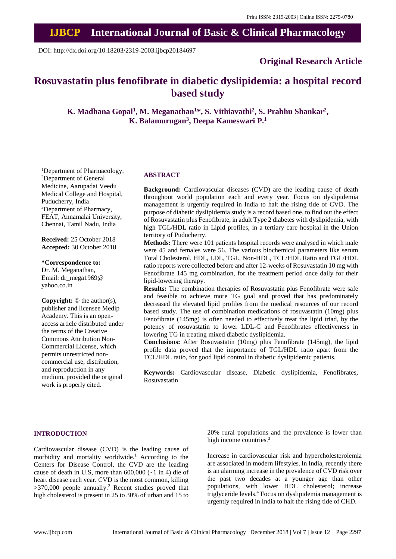# **IJBCP International Journal of Basic & Clinical Pharmacology**

DOI: http://dx.doi.org/10.18203/2319-2003.ijbcp20184697

# **Original Research Article**

# **Rosuvastatin plus fenofibrate in diabetic dyslipidemia: a hospital record based study**

**K. Madhana Gopal<sup>1</sup> , M. Meganathan<sup>1</sup>\*, S. Vithiavathi<sup>2</sup> , S. Prabhu Shankar<sup>2</sup> , K. Balamurugan<sup>3</sup> , Deepa Kameswari P. 1**

<sup>1</sup>Department of Pharmacology, <sup>2</sup>Department of General Medicine, Aarupadai Veedu Medical College and Hospital, Puducherry, India <sup>3</sup>Department of Pharmacy, FEAT, Annamalai University, Chennai, Tamil Nadu, India

**Received:** 25 October 2018 **Accepted:** 30 October 2018

**\*Correspondence to:** Dr. M. Meganathan, Email: dr\_mega1969@ yahoo.co.in

**Copyright:** © the author(s), publisher and licensee Medip Academy. This is an openaccess article distributed under the terms of the Creative Commons Attribution Non-Commercial License, which permits unrestricted noncommercial use, distribution, and reproduction in any medium, provided the original work is properly cited.

#### **ABSTRACT**

**Background:** Cardiovascular diseases (CVD) are the leading cause of death throughout world population each and every year. Focus on dyslipidemia management is urgently required in India to halt the rising tide of CVD. The purpose of diabetic dyslipidemia study is a record based one, to find out the effect of Rosuvastatin plus Fenofibrate, in adult Type 2 diabetes with dyslipidemia, with high TGL/HDL ratio in Lipid profiles, in a tertiary care hospital in the Union territory of Puducherry.

**Methods:** There were 101 patients hospital records were analysed in which male were 45 and females were 56. The various biochemical parameters like serum Total Cholesterol, HDL, LDL, TGL, Non-HDL, TCL/HDL Ratio and TGL/HDL ratio reports were collected before and after 12-weeks of Rosuvastatin 10 mg with Fenofibrate 145 mg combination, for the treatment period once daily for their lipid-lowering therapy.

**Results:** The combination therapies of Rosuvastatin plus Fenofibrate were safe and feasible to achieve more TG goal and proved that has predominately decreased the elevated lipid profiles from the medical resources of our record based study. The use of combination medications of rosuvastatin (10mg) plus Fenofibrate (145mg) is often needed to effectively treat the lipid triad, by the potency of rosuvastatin to lower LDL-C and Fenofibrates effectiveness in lowering TG in treating mixed diabetic dyslipidemia.

**Conclusions:** After Rosuvastatin (10mg) plus Fenofibrate (145mg), the lipid profile data proved that the importance of TGL/HDL ratio apart from the TCL/HDL ratio, for good lipid control in diabetic dyslipidemic patients.

**Keywords:** Cardiovascular disease, Diabetic dyslipidemia, Fenofibrates, Rosuvastatin

#### **INTRODUCTION**

Cardiovascular disease (CVD) is the leading cause of morbidity and mortality worldwide.<sup>1</sup> According to the Centers for Disease Control, the CVD are the leading cause of death in U.S, more than  $600,000$  ( $\sim$ 1 in 4) die of heart disease each year. CVD is the most common, killing  $>370,000$  people annually.<sup>2</sup> Recent studies proved that high cholesterol is present in 25 to 30% of urban and 15 to 20% rural populations and the prevalence is lower than high income countries.<sup>3</sup>

Increase in cardiovascular risk and hypercholesterolemia are associated in modern lifestyles. In India, recently there is an alarming increase in the prevalence of CVD risk over the past two decades at a younger age than other populations, with lower HDL cholesterol; increase triglyceride levels.<sup>4</sup> Focus on dyslipidemia management is urgently required in India to halt the rising tide of CHD.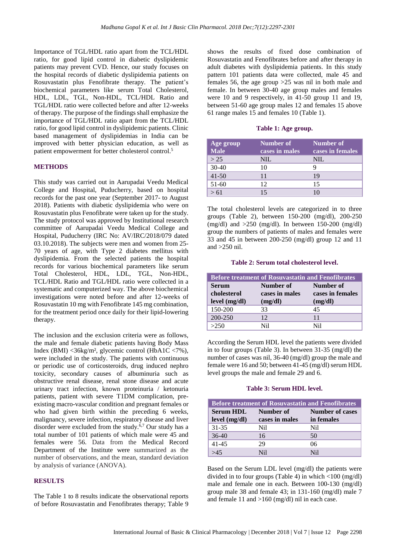Importance of TGL/HDL ratio apart from the TCL/HDL ratio, for good lipid control in diabetic dyslipidemic patients may prevent CVD. Hence, our study focuses on the hospital records of diabetic dyslipidemia patients on Rosuvastatin plus Fenofibrate therapy. The patient's biochemical parameters like serum Total Cholesterol, HDL, LDL, TGL, Non-HDL, TCL/HDL Ratio and TGL/HDL ratio were collected before and after 12-weeks of therapy. The purpose of the findings shall emphasize the importance of TGL/HDL ratio apart from the TCL/HDL ratio, for good lipid control in dyslipidemic patients. Clinic based management of dyslipidemias in India can be improved with better physician education, as well as patient empowerment for better cholesterol control.<sup>5</sup>

# **METHODS**

This study was carried out in Aarupadai Veedu Medical College and Hospital, Puducherry, based on hospital records for the past one year (September 2017- to August 2018). Patients with diabetic dyslipidemia who were on Rosuvastatin plus Fenofibrate were taken up for the study. The study protocol was approved by Institutional research committee of Aarupadai Veedu Medical College and Hospital, Puducherry (IRC No: AV/IRC/2018/079 dated 03.10.2018). The subjects were men and women from 25- 70 years of age, with Type 2 diabetes mellitus with dyslipidemia. From the selected patients the hospital records for various biochemical parameters like serum Total Cholesterol, HDL, LDL, TGL, Non-HDL, TCL/HDL Ratio and TGL/HDL ratio were collected in a systematic and computerized way. The above biochemical investigations were noted before and after 12-weeks of Rosuvastatin 10 mg with Fenofibrate 145 mg combination, for the treatment period once daily for their lipid-lowering therapy.

The inclusion and the exclusion criteria were as follows, the male and female diabetic patients having Body Mass Index (BMI) <36kg/m², glycemic control (HbA1C <7%), were included in the study. The patients with continuous or periodic use of corticosteroids, drug induced nephro toxicity, secondary causes of albuminuria such as obstructive renal disease, renal stone disease and acute urinary tract infection, known proteinuria / ketonuria patients, patient with severe T1DM complication, preexisting macro-vascular condition and pregnant females or who had given birth within the preceding 6 weeks, malignancy, severe infection, respiratory disease and liver disorder were excluded from the study.6,7 Our study has a total number of 101 patients of which male were 45 and females were 56. Data from the Medical Record Department of the Institute were summarized as the number of observations, and the mean, standard deviation by analysis of variance (ANOVA).

# **RESULTS**

The Table 1 to 8 results indicate the observational reports of before Rosuvastatin and Fenofibrates therapy; Table 9

shows the results of fixed dose combination of Rosuvastatin and Fenofibrates before and after therapy in adult diabetes with dyslipidemia patients. In this study pattern 101 patients data were collected, male 45 and females 56, the age group >25 was nil in both male and female. In between 30-40 age group males and females were 10 and 9 respectively, in 41-50 group 11 and 19, between 51-60 age group males 12 and females 15 above 61 range males 15 and females 10 (Table 1).

# **Table 1: Age group.**

| Age group<br><b>Male</b> | Number of<br>cases in males | Number of<br>cases in females |
|--------------------------|-----------------------------|-------------------------------|
| > 25                     | NIL.                        | NIL                           |
| $30-40$                  | 10                          |                               |
| $41 - 50$                | 11                          | 19                            |
| $51-60$                  | 12                          | 15                            |
| >61                      |                             |                               |

The total cholesterol levels are categorized in to three groups (Table 2), between 150-200 (mg/dl), 200-250 (mg/dl) and  $>250$  (mg/dl). In between 150-200 (mg/dl) group the numbers of patients of males and females were 33 and 45 in between 200-250 (mg/dl) group 12 and 11 and >250 nil.

## **Table 2: Serum total cholesterol level.**

| <b>Before treatment of Rosuvastatin and Fenofibrates</b> |                |                  |
|----------------------------------------------------------|----------------|------------------|
| <b>Serum</b>                                             | Number of      | Number of        |
| cholesterol                                              | cases in males | cases in females |
| level (mg/dl)                                            | (mg/dl)        | (mg/dl)          |
| 150-200                                                  | 33             | 45               |
| $200 - 250$                                              | 12.            | 11               |
| >250                                                     | Ni1            | Nil              |

According the Serum HDL level the patients were divided in to four groups (Table 3). In between 31-35 (mg/dl) the number of cases was nil, 36-40 (mg/dl) group the male and female were 16 and 50; between 41-45 (mg/dl) serum HDL level groups the male and female 29 and 6.

# **Table 3: Serum HDL level.**

| <b>Before treatment of Rosuvastatin and Fenofibrates</b> |                |                        |  |
|----------------------------------------------------------|----------------|------------------------|--|
| <b>Serum HDL</b>                                         | Number of      | <b>Number of cases</b> |  |
| level (mg/dl)                                            | cases in males | in females             |  |
| $31 - 35$                                                | Nil.           | Ni1                    |  |
| $36-40$                                                  | 16             | 50                     |  |
| $41 - 45$                                                | 29             | 06                     |  |
|                                                          | N <sub>1</sub> | Ni1                    |  |

Based on the Serum LDL level (mg/dl) the patients were divided in to four groups (Table 4) in which <100 (mg/dl) male and female one in each. Between 100-130 (mg/dl) group male 38 and female 43; in 131-160 (mg/dl) male 7 and female 11 and >160 (mg/dl) nil in each case.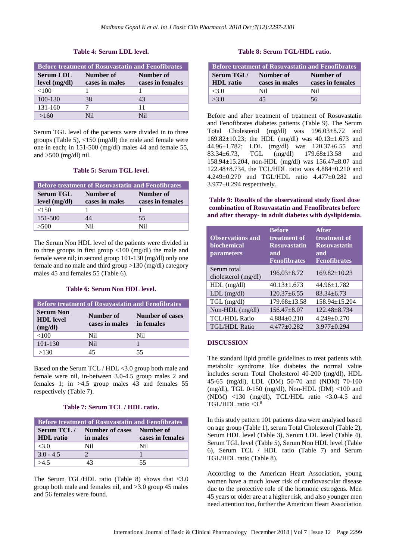# **Table 4: Serum LDL level.**

| <b>Before treatment of Rosuvastatin and Fenofibrates</b> |                             |                               |
|----------------------------------------------------------|-----------------------------|-------------------------------|
| <b>Serum LDL</b><br>level (mg/dl)                        | Number of<br>cases in males | Number of<br>cases in females |
| ${<}100$                                                 |                             |                               |
| 100-130                                                  | 38                          | 43                            |
| 131-160                                                  |                             | 11                            |
|                                                          | Nil                         | N <sub>1</sub>                |

Serum TGL level of the patients were divided in to three groups (Table 5), <150 (mg/dl) the male and female were one in each; in 151-500 (mg/dl) males 44 and female 55, and >500 (mg/dl) nil.

#### **Table 5: Serum TGL level.**

| <b>Before treatment of Rosuvastatin and Fenofibrates</b> |                |                  |
|----------------------------------------------------------|----------------|------------------|
| <b>Serum TGL</b>                                         | Number of      | Number of        |
| level (mg/dl)                                            | cases in males | cases in females |
| ${<}150$                                                 |                |                  |
| 151-500                                                  | 14             | 55               |
| >500                                                     | Nil            | Ni1              |

The Serum Non HDL level of the patients were divided in to three groups in first group <100 (mg/dl) the male and female were nil; in second group 101-130 (mg/dl) only one female and no male and third group >130 (mg/dl) category males 45 and females 55 (Table 6).

#### **Table 6: Serum Non HDL level.**

| <b>Before treatment of Rosuvastatin and Fenofibrates</b> |                             |                               |
|----------------------------------------------------------|-----------------------------|-------------------------------|
| <b>Serum Non</b><br><b>HDL</b> level<br>(mg/dl)          | Number of<br>cases in males | Number of cases<br>in females |
| < 100                                                    | Nil.                        | Nil                           |
| 101-130                                                  | Nil.                        |                               |
| >130                                                     | 15                          | 55                            |

Based on the Serum TCL / HDL <3.0 group both male and female were nil, in-between 3.0-4.5 group males 2 and females 1; in  $>4.5$  group males 43 and females 55 respectively (Table 7).

## **Table 7: Serum TCL / HDL ratio.**

| <b>Before treatment of Rosuvastatin and Fenofibrates</b> |                                                   |                  |  |
|----------------------------------------------------------|---------------------------------------------------|------------------|--|
| <b>HDL</b> ratio                                         | Serum TCL / Number of cases Number of<br>in males | cases in females |  |
| <3.0                                                     | Ni1                                               | Nil              |  |
| $3.0 - 4.5$                                              |                                                   |                  |  |
|                                                          |                                                   | 55               |  |

The Serum TGL/HDL ratio (Table 8) shows that  $\langle 3.0 \rangle$ group both male and females nil, and >3.0 group 45 males and 56 females were found.

#### **Table 8: Serum TGL/HDL ratio.**

| <b>Before treatment of Rosuvastatin and Fenofibrates</b> |                             |                               |
|----------------------------------------------------------|-----------------------------|-------------------------------|
| Serum TGL/<br><b>HDL</b> ratio                           | Number of<br>cases in males | Number of<br>cases in females |
| <3.0                                                     | Nil                         | Nil                           |
| >3.0                                                     | 15                          | 56                            |

Before and after treatment of treatment of Rosuvastatin and Fenofibrates diabetes patients (Table 9). The Serum Total Cholesterol (mg/dl) was 196.03±8.72 and 169.82±10.23; the HDL (mg/dl) was 40.13±1.673 and 44.96±1.782; LDL (mg/dl) was 120.37±6.55 and 83.34±6.73, TGL (mg/dl) 179.68±13.58 and 158.94±15.204, non-HDL (mg/dl) was 156.47±8.07 and 122.48±8.734, the TCL/HDL ratio was 4.884±0.210 and 4.249±0.270 and TGL/HDL ratio 4.477±0.282 and 3.977±0.294 respectively.

**Table 9: Results of the observational study fixed dose combination of Rosuvastatin and Fenofibrates before and after therapy- in adult diabetes with dyslipidemia.**

| <b>Observations and</b><br>biochemical<br>parameters | <b>Before</b><br>treatment of<br><b>Rosuvastatin</b><br>and<br><b>Fenofibrates</b> | <b>After</b><br>treatment of<br><b>Rosuvastatin</b><br>and<br><b>Fenofibrates</b> |
|------------------------------------------------------|------------------------------------------------------------------------------------|-----------------------------------------------------------------------------------|
| Serum total<br>cholesterol (mg/dl)                   | $196.03 \pm 8.72$                                                                  | $169.82 \pm 10.23$                                                                |
| $HDL$ (mg/dl)                                        | $40.13 \pm 1.673$                                                                  | 44.96±1.782                                                                       |
| $LDL$ (mg/dl)                                        | $120.37 + 6.55$                                                                    | $83.34 \pm 6.73$                                                                  |
| $TGL$ (mg/dl)                                        | $179.68 \pm 13.58$                                                                 | 158.94±15.204                                                                     |
| Non-HDL (mg/dl)                                      | $156.47 \pm 8.07$                                                                  | $122.48 + 8.734$                                                                  |
| <b>TCL/HDL Ratio</b>                                 | $4.884 \pm 0.210$                                                                  | $4.249 \pm 0.270$                                                                 |
| <b>TGL/HDL Ratio</b>                                 | $4.477+0.282$                                                                      | $3.977+0.294$                                                                     |

#### **DISCUSSION**

The standard lipid profile guidelines to treat patients with metabolic syndrome like diabetes the normal value includes serum Total Cholesterol 40-200 (mg/dl), HDL 45-65 (mg/dl), LDL (DM) 50-70 and (NDM) 70-100 (mg/dl), TGL 0-150 (mg/dl), Non-HDL (DM) <100 and (NDM) <130 (mg/dl), TCL/HDL ratio  $\leq$ 3.0-4.5 and TGL/HDL ratio  $<$ 3. $8$ 

In this study pattern 101 patients data were analysed based on age group (Table 1), serum Total Cholesterol (Table 2), Serum HDL level (Table 3), Serum LDL level (Table 4), Serum TGL level (Table 5), Serum Non HDL level (Table 6), Serum TCL / HDL ratio (Table 7) and Serum TGL/HDL ratio (Table 8).

According to the American Heart Association, young women have a much lower risk of cardiovascular disease due to the protective role of the hormone estrogens. Men 45 years or older are at a higher risk, and also younger men need attention too, further the American Heart Association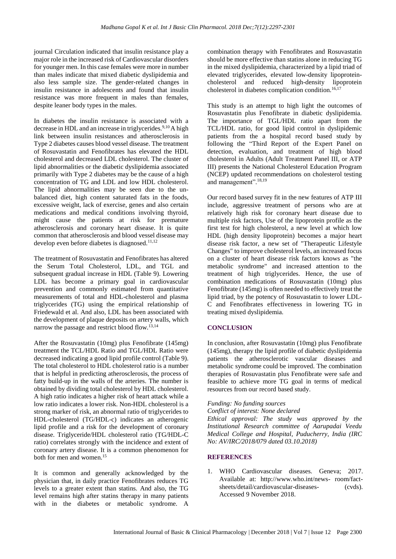journal Circulation indicated that insulin resistance play a major role in the increased risk of Cardiovascular disorders for younger men. In this case females were more in number than males indicate that mixed diabetic dyslipidemia and also less sample size. The gender-related changes in insulin resistance in adolescents and found that insulin resistance was more frequent in males than females, despite leaner body types in the males.

In diabetes the insulin resistance is associated with a decrease in HDL and an increase in triglycerides.<sup>9,10</sup>A high link between insulin resistances and atherosclerosis in Type 2 diabetes causes blood vessel disease. The treatment of Rosuvastatin and Fenofibrates has elevated the HDL cholesterol and decreased LDL cholesterol. The cluster of lipid abnormalities or the diabetic dyslipidemia associated primarily with Type 2 diabetes may be the cause of a high concentration of TG and LDL and low HDL cholesterol. The lipid abnormalities may be seen due to the unbalanced diet, high content saturated fats in the foods, excessive weight, lack of exercise, genes and also certain medications and medical conditions involving thyroid, might cause the patients at risk for premature atherosclerosis and coronary heart disease. It is quite common that atherosclerosis and blood vessel disease may develop even before diabetes is diagnosed.<sup>11,12</sup>

The treatment of Rosuvastatin and Fenofibrates has altered the Serum Total Cholesterol, LDL, and TGL and subsequent gradual increase in HDL (Table 9). Lowering LDL has become a primary goal in cardiovascular prevention and commonly estimated from quantitative measurements of total and HDL-cholesterol and plasma triglycerides (TG) using the empirical relationship of Friedewald et al. And also, LDL has been associated with the development of plaque deposits on artery walls, which narrow the passage and restrict blood flow.13,14

After the Rosuvastatin (10mg) plus Fenofibrate (145mg) treatment the TCL/HDL Ratio and TGL/HDL Ratio were decreased indicating a good lipid profile control (Table 9). The total cholesterol to HDL cholesterol ratio is a number that is helpful in predicting atherosclerosis, the process of fatty build-up in the walls of the arteries. The number is obtained by dividing total cholesterol by HDL cholesterol. A high ratio indicates a higher risk of heart attack while a low ratio indicates a lower risk. Non-HDL cholesterol is a strong marker of risk, an abnormal ratio of triglycerides to HDL-cholesterol (TG/HDL-c) indicates an atherogenic lipid profile and a risk for the development of coronary disease. Triglyceride/HDL cholesterol ratio (TG/HDL-C ratio) correlates strongly with the [incidence](https://circ.ahajournals.org/content/96/8/2520.full) and [extent](https://www.ncbi.nlm.nih.gov/pmc/articles/PMC2664115/) of coronary artery disease. It is a common phenomenon for both for [men](https://www.ncbi.nlm.nih.gov/pubmed/19892056) and women.<sup>15</sup>

It is common and generally acknowledged by the physician that, in daily practice Fenofibrates reduces TG levels to a greater extent than statins. And also, the TG level remains high after statins therapy in many patients with in the diabetes or metabolic syndrome. A combination therapy with Fenofibrates and Rosuvastatin should be more effective than statins alone in reducing TG in the mixed dyslipidemia, characterized by a lipid triad of elevated triglycerides, elevated low-density lipoproteincholesterol and reduced high-density lipoprotein cholesterol in diabetes complication condition.<sup>16,17</sup>

This study is an attempt to high light the outcomes of Rosuvastatin plus Fenofibrate in diabetic dyslipidemia. The importance of TGL/HDL ratio apart from the TCL/HDL ratio, for good lipid control in dyslipidemic patients from the a hospital record based study by following the "Third Report of the Expert Panel on detection, evaluation, and treatment of high blood cholesterol in Adults (Adult Treatment Panel III, or ATP III) presents the National Cholesterol Education Program (NCEP) updated recommendations on cholesterol testing and management". 18,19

Our record based survey fit in the new features of ATP III include, aggressive treatment of persons who are at relatively high risk for coronary heart disease due to multiple risk factors, Use of the lipoprotein profile as the first test for high cholesterol, a new level at which low HDL (high density lipoprotein) becomes a major heart disease risk factor, a new set of "Therapeutic Lifestyle Changes" to improve cholesterol levels, an increased focus on a cluster of heart disease risk factors knows as "the metabolic syndrome" and increased attention to the treatment of high triglycerides. Hence, the use of combination medications of Rosuvastatin (10mg) plus Fenofibrate (145mg) is often needed to effectively treat the lipid triad, by the potency of Rosuvastatin to lower LDL-C and Fenofibrates effectiveness in lowering TG in treating mixed dyslipidemia.

# **CONCLUSION**

In conclusion, after Rosuvastatin (10mg) plus Fenofibrate (145mg), therapy the lipid profile of diabetic dyslipidemia patients the atherosclerotic vascular diseases and metabolic syndrome could be improved. The combination therapies of Rosuvastatin plus Fenofibrate were safe and feasible to achieve more TG goal in terms of medical resources from our record based study.

#### *Funding: No funding sources*

*Conflict of interest: None declared*

*Ethical approval: The study was approved by the Institutional Research committee of Aarupadai Veedu Medical College and Hospital, Puducherry, India (IRC No: AV/IRC/2018/079 dated 03.10.2018)*

# **REFERENCES**

1. WHO Cardiovascular diseases. Geneva; 2017. Available at: http://www.who.int/news- room/factsheets/detail/cardiovascular-diseases- (cvds). Accessed 9 November 2018.